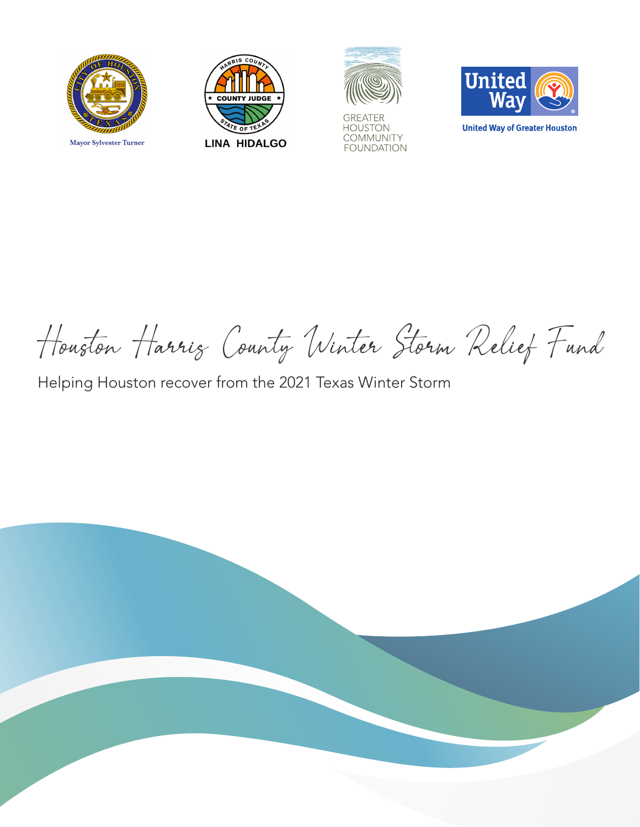





**GREATER** HOUSTON<br>COMMUNITY **FOUNDATION** 



**United Way of Greater Houston** 

Houston Harris County Winter Storm Relief Fund

Helping Houston recover from the 2021 Texas Winter Storm

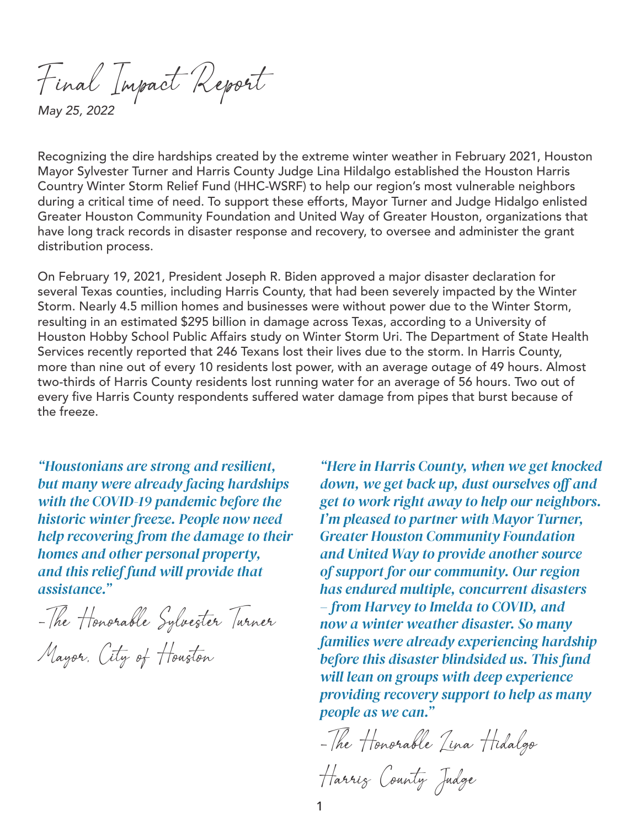Final Impact Report

*May 25, 2022*

Recognizing the dire hardships created by the extreme winter weather in February 2021, Houston Mayor Sylvester Turner and Harris County Judge Lina Hildalgo established the Houston Harris Country Winter Storm Relief Fund (HHC-WSRF) to help our region's most vulnerable neighbors during a critical time of need. To support these efforts, Mayor Turner and Judge Hidalgo enlisted Greater Houston Community Foundation and United Way of Greater Houston, organizations that have long track records in disaster response and recovery, to oversee and administer the grant distribution process.

On February 19, 2021, President Joseph R. Biden approved a major disaster declaration for several Texas counties, including Harris County, that had been severely impacted by the Winter Storm. Nearly 4.5 million homes and businesses were without power due to the Winter Storm, resulting in an estimated \$295 billion in damage across Texas, according to a University of Houston Hobby School Public Affairs study on Winter Storm Uri. The Department of State Health Services recently reported that 246 Texans lost their lives due to the storm. In Harris County, more than nine out of every 10 residents lost power, with an average outage of 49 hours. Almost two-thirds of Harris County residents lost running water for an average of 56 hours. Two out of every five Harris County respondents suffered water damage from pipes that burst because of the freeze.

*"Houstonians are strong and resilient, but many were already facing hardships with the COVID-19 pandemic before the historic winter freeze. People now need help recovering from the damage to their homes and other personal property, and this relief fund will provide that assistance."*

-The Honorable Sylvester Turner

Mayor, City of Houston

*"Here in Harris County, when we get knocked down, we get back up, dust ourselves off and get to work right away to help our neighbors. I'm pleased to partner with Mayor Turner, Greater Houston Community Foundation and United Way to provide another source of support for our community. Our region has endured multiple, concurrent disasters – from Harvey to Imelda to COVID, and now a winter weather disaster. So many families were already experiencing hardship before this disaster blindsided us. This fund will lean on groups with deep experience providing recovery support to help as many people as we can."* 

-The Honorable Lina Hidalgo

Harris County Judge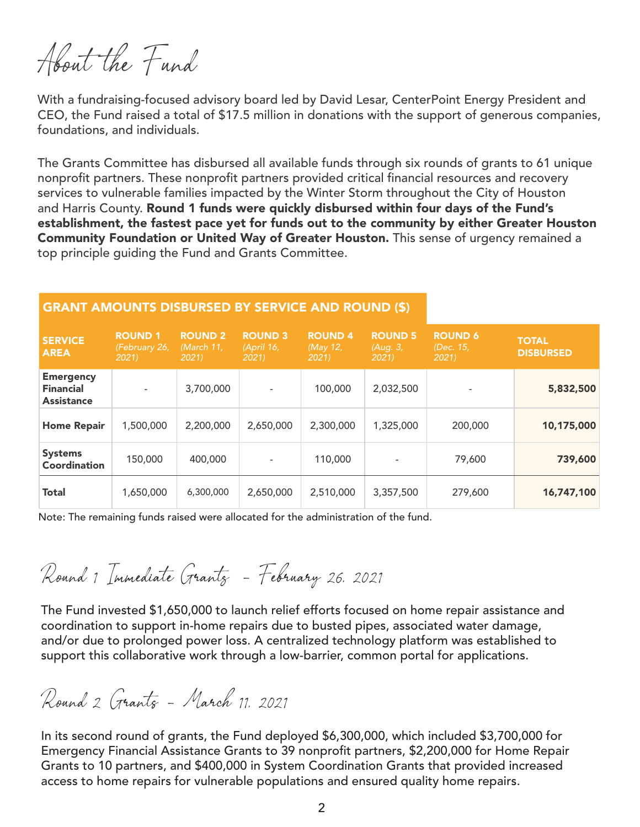About the Fund

With a fundraising-focused advisory board led by David Lesar, CenterPoint Energy President and CEO, the Fund raised a total of \$17.5 million in donations with the support of generous companies, foundations, and individuals.

The Grants Committee has disbursed all available funds through six rounds of grants to 61 unique nonprofit partners. These nonprofit partners provided critical financial resources and recovery services to vulnerable families impacted by the Winter Storm throughout the City of Houston and Harris County. Round 1 funds were quickly disbursed within four days of the Fund's establishment, the fastest pace yet for funds out to the community by either Greater Houston Community Foundation or United Way of Greater Houston. This sense of urgency remained a top principle guiding the Fund and Grants Committee.

#### GRANT AMOUNTS DISBURSED BY SERVICE AND ROUND (\$)

| <b>SERVICE</b><br><b>AREA</b>                             | <b>ROUND 1</b><br>(February 26,<br>2021 | <b>ROUND 2</b><br>(March 11.<br>2021 | <b>ROUND 3</b><br>(April 16,<br>2021 | <b>ROUND 4</b><br>(May 12,<br>2021 | <b>ROUND 5</b><br>(Aug. 3,<br>2021 | <b>ROUND 6</b><br>(Dec. 15,<br>2021 | <b>TOTAL</b><br><b>DISBURSED</b> |
|-----------------------------------------------------------|-----------------------------------------|--------------------------------------|--------------------------------------|------------------------------------|------------------------------------|-------------------------------------|----------------------------------|
| <b>Emergency</b><br><b>Financial</b><br><b>Assistance</b> | $\overline{\phantom{a}}$                | 3,700,000                            |                                      | 100,000                            | 2,032,500                          |                                     | 5,832,500                        |
| <b>Home Repair</b>                                        | 1,500,000                               | 2,200,000                            | 2,650,000                            | 2,300,000                          | 1,325,000                          | 200,000                             | 10,175,000                       |
| <b>Systems</b><br><b>Coordination</b>                     | 150,000                                 | 400,000                              |                                      | 110,000                            |                                    | 79,600                              | 739,600                          |
| <b>Total</b>                                              | 1,650,000                               | 6,300,000                            | 2,650,000                            | 2,510,000                          | 3,357,500                          | 279,600                             | 16,747,100                       |

Note: The remaining funds raised were allocated for the administration of the fund.

Round 1 Immediate Grants - February 26, 2021

The Fund invested \$1,650,000 to launch relief efforts focused on home repair assistance and coordination to support in-home repairs due to busted pipes, associated water damage, and/or due to prolonged power loss. A centralized technology platform was established to support this collaborative work through a low-barrier, common portal for applications.

Round 2 Grants - March 11, 2021

In its second round of grants, the Fund deployed \$6,300,000, which included \$3,700,000 for Emergency Financial Assistance Grants to 39 nonprofit partners, \$2,200,000 for Home Repair Grants to 10 partners, and \$400,000 in System Coordination Grants that provided increased access to home repairs for vulnerable populations and ensured quality home repairs.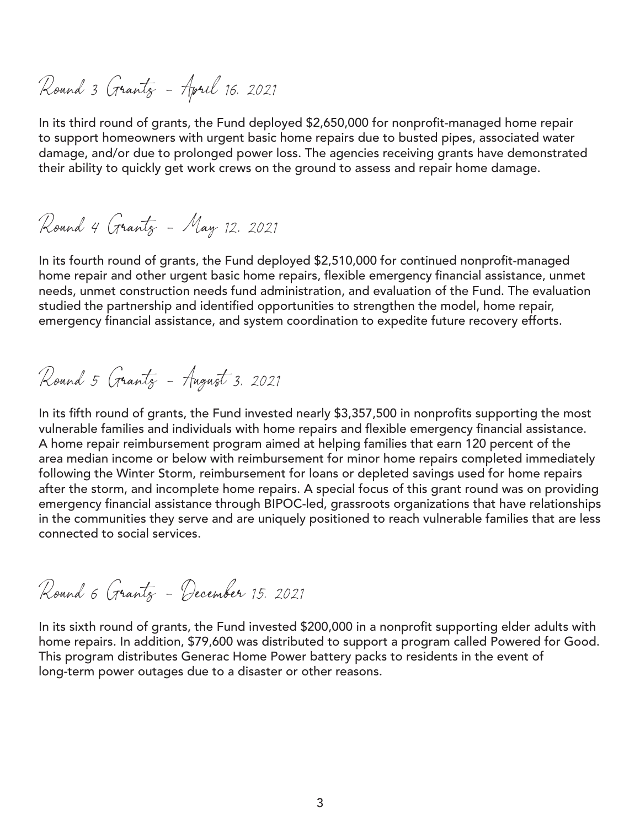Round 3 Grants - April 16, 2021

In its third round of grants, the Fund deployed \$2,650,000 for nonprofit-managed home repair to support homeowners with urgent basic home repairs due to busted pipes, associated water damage, and/or due to prolonged power loss. The agencies receiving grants have demonstrated their ability to quickly get work crews on the ground to assess and repair home damage.

Round 4 Grants - May 12, 2021

In its fourth round of grants, the Fund deployed \$2,510,000 for continued nonprofit-managed home repair and other urgent basic home repairs, flexible emergency financial assistance, unmet needs, unmet construction needs fund administration, and evaluation of the Fund. The evaluation studied the partnership and identified opportunities to strengthen the model, home repair, emergency financial assistance, and system coordination to expedite future recovery efforts.

Round 5 Grants - August 3, 2021

In its fifth round of grants, the Fund invested nearly \$3,357,500 in nonprofits supporting the most vulnerable families and individuals with home repairs and flexible emergency financial assistance. A home repair reimbursement program aimed at helping families that earn 120 percent of the area median income or below with reimbursement for minor home repairs completed immediately following the Winter Storm, reimbursement for loans or depleted savings used for home repairs after the storm, and incomplete home repairs. A special focus of this grant round was on providing emergency financial assistance through BIPOC-led, grassroots organizations that have relationships in the communities they serve and are uniquely positioned to reach vulnerable families that are less connected to social services.

Round 6 Grants - December 15, 2021

In its sixth round of grants, the Fund invested \$200,000 in a nonprofit supporting elder adults with home repairs. In addition, \$79,600 was distributed to support a program called Powered for Good. This program distributes Generac Home Power battery packs to residents in the event of long-term power outages due to a disaster or other reasons.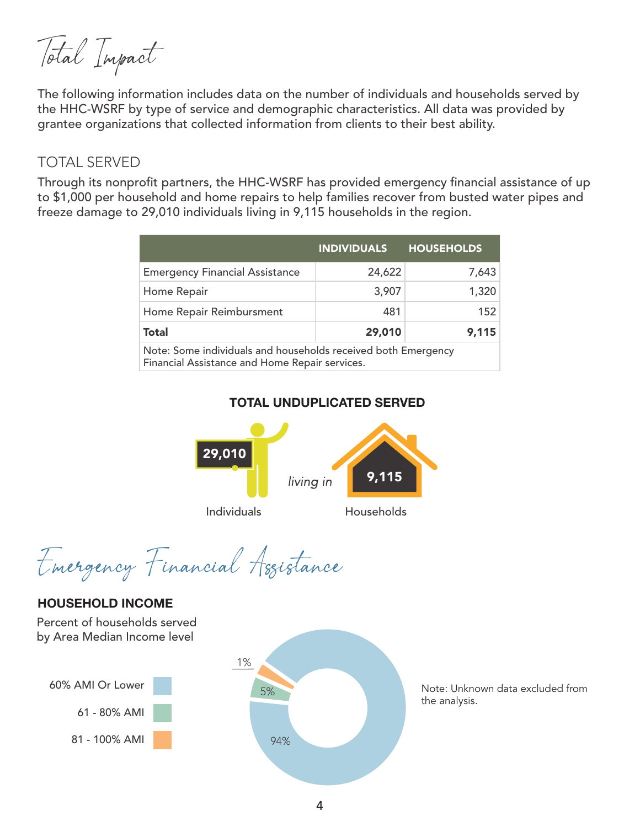Total Impact

The following information includes data on the number of individuals and households served by the HHC-WSRF by type of service and demographic characteristics. All data was provided by grantee organizations that collected information from clients to their best ability.

#### TOTAL SERVED

Through its nonprofit partners, the HHC-WSRF has provided emergency financial assistance of up to \$1,000 per household and home repairs to help families recover from busted water pipes and freeze damage to 29,010 individuals living in 9,115 households in the region.

|                                                                                                                 | <b>INDIVIDUALS</b> | <b>HOUSEHOLDS</b> |  |  |  |  |
|-----------------------------------------------------------------------------------------------------------------|--------------------|-------------------|--|--|--|--|
| <b>Emergency Financial Assistance</b>                                                                           | 24,622             | 7,643             |  |  |  |  |
| Home Repair                                                                                                     | 3,907              | 1,320             |  |  |  |  |
| Home Repair Reimbursment                                                                                        | 481                | 152               |  |  |  |  |
| <b>Total</b>                                                                                                    | 29,010             | 9,115             |  |  |  |  |
| Note: Some individuals and households received both Emergency<br>Financial Assistance and Home Repair services. |                    |                   |  |  |  |  |

#### **TOTAL UNDUPLICATED SERVED**



Emergency Financial Assistance

#### **HOUSEHOLD INCOME**

1% 60% AMI Or Lower Percent of households served by Area Median Income level 61 - 80% AMI 81 - 100% AMI 5% 94%

Note: Unknown data excluded from the analysis.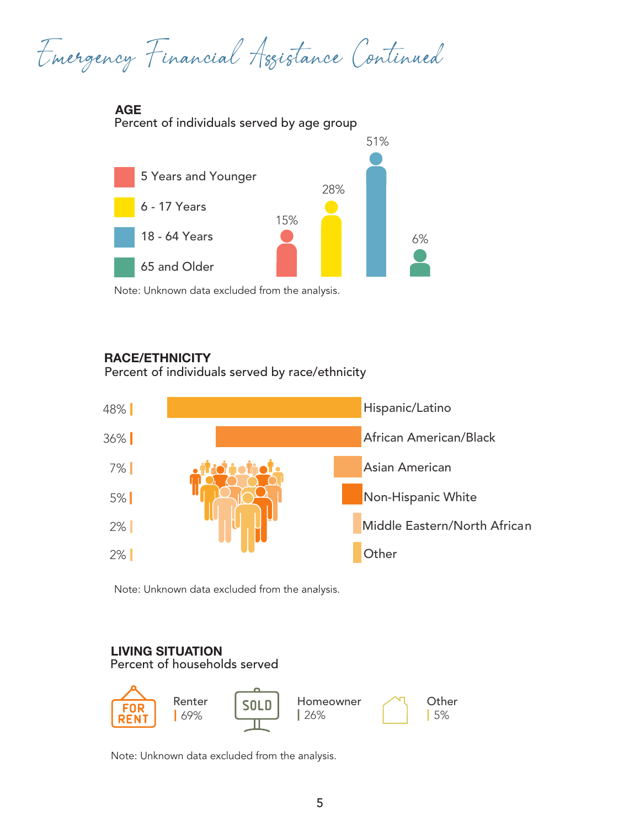Emergency Financial Assistance Continued

**AGE**





Note: Unknown data excluded from the analysis.

### **RACE/ETHNICITY**

Percent of individuals served by race/ethnicity



*.* Note: Unknown data excluded from the analysis.

## **LIVING SITUATION**

Percent of households served



Note: Unknown data excluded from the analysis.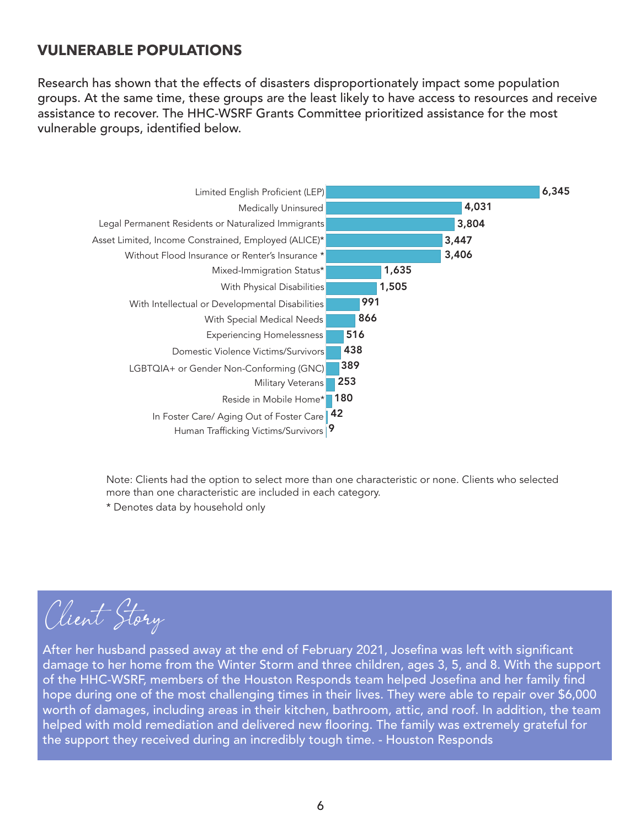## **VULNERABLE POPULATIONS**

Research has shown that the effects of disasters disproportionately impact some population groups. At the same time, these groups are the least likely to have access to resources and receive assistance to recover. The HHC-WSRF Grants Committee prioritized assistance for the most vulnerable groups, identified below.



Note: Clients had the option to select more than one characteristic or none. Clients who selected more than one characteristic are included in each category.

\* Denotes data by household only

Client Story

After her husband passed away at the end of February 2021, Josefina was left with significant damage to her home from the Winter Storm and three children, ages 3, 5, and 8. With the support of the HHC-WSRF, members of the Houston Responds team helped Josefina and her family find hope during one of the most challenging times in their lives. They were able to repair over \$6,000 worth of damages, including areas in their kitchen, bathroom, attic, and roof. In addition, the team helped with mold remediation and delivered new flooring. The family was extremely grateful for the support they received during an incredibly tough time. - Houston Responds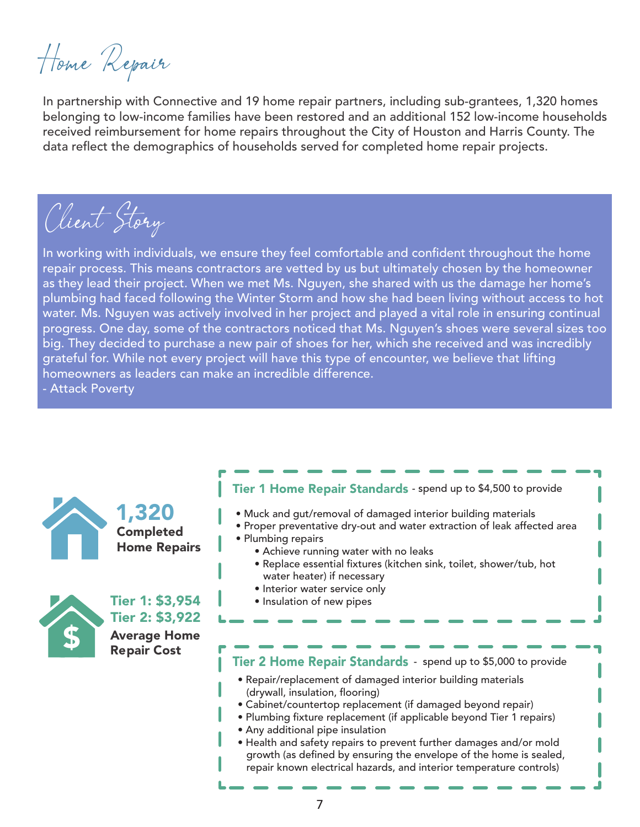Home Repair

In partnership with Connective and 19 home repair partners, including sub-grantees, 1,320 homes belonging to low-income families have been restored and an additional 152 low-income households received reimbursement for home repairs throughout the City of Houston and Harris County. The data reflect the demographics of households served for completed home repair projects.

Client Story

In working with individuals, we ensure they feel comfortable and confident throughout the home repair process. This means contractors are vetted by us but ultimately chosen by the homeowner as they lead their project. When we met Ms. Nguyen, she shared with us the damage her home's plumbing had faced following the Winter Storm and how she had been living without access to hot water. Ms. Nguyen was actively involved in her project and played a vital role in ensuring continual progress. One day, some of the contractors noticed that Ms. Nguyen's shoes were several sizes too big. They decided to purchase a new pair of shoes for her, which she received and was incredibly grateful for. While not every project will have this type of encounter, we believe that lifting homeowners as leaders can make an incredible difference.

- Attack Poverty

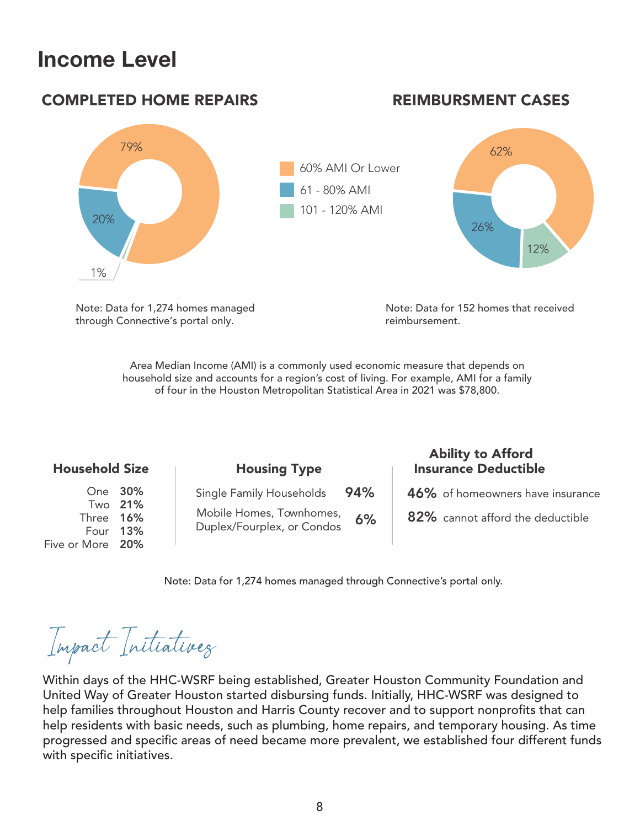# **Income Level**



Note: Data for 152 homes that received reimbursement.

Area Median Income (AMI) is a commonly used economic measure that depends on household size and accounts for a region's cost of living. For example, AMI for a family of four in the Houston Metropolitan Statistical Area in 2021 was \$78,800.

| <b>Household Size</b>                     |                           | <b>Housing Type</b>                                                                |           | <b>Ability to Afford</b><br><b>Insurance Deductible</b>              |
|-------------------------------------------|---------------------------|------------------------------------------------------------------------------------|-----------|----------------------------------------------------------------------|
| Three 16%<br>Four 13%<br>Five or More 20% | One 30%<br>Two <b>21%</b> | Single Family Households<br>Mobile Homes, Townhomes,<br>Duplex/Fourplex, or Condos | 94%<br>6% | 46% of homeowners have insurance<br>82% cannot afford the deductible |

Note: Data for 1,274 homes managed through Connective's portal only.

Impact Initiatives

Note: Data for 1,274 homes managed through Connective's portal only.

Within days of the HHC-WSRF being established, Greater Houston Community Foundation and United Way of Greater Houston started disbursing funds. Initially, HHC-WSRF was designed to help families throughout Houston and Harris County recover and to support nonprofits that can help residents with basic needs, such as plumbing, home repairs, and temporary housing. As time progressed and specific areas of need became more prevalent, we established four different funds with specific initiatives.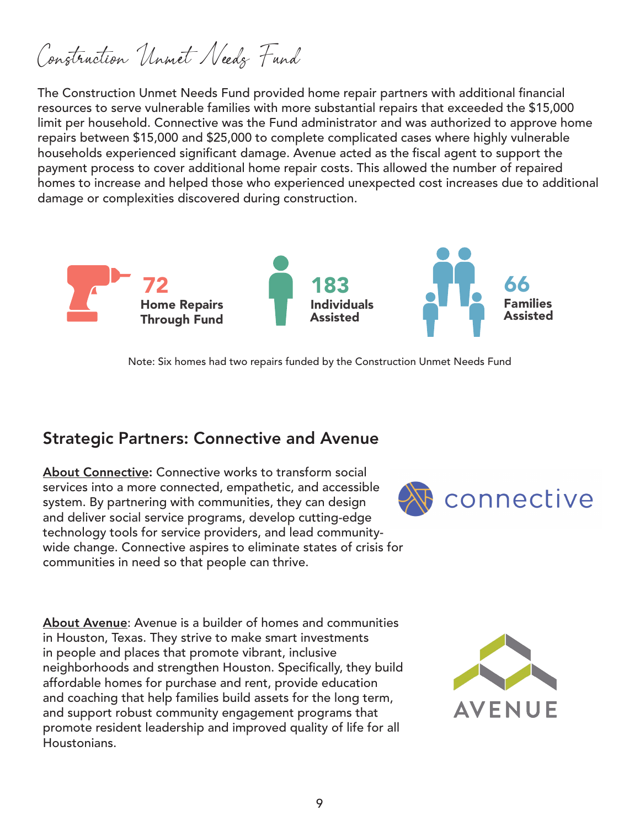Construction Unmet Needs Fund

The Construction Unmet Needs Fund provided home repair partners with additional financial resources to serve vulnerable families with more substantial repairs that exceeded the \$15,000 limit per household. Connective was the Fund administrator and was authorized to approve home repairs between \$15,000 and \$25,000 to complete complicated cases where highly vulnerable households experienced significant damage. Avenue acted as the fiscal agent to support the payment process to cover additional home repair costs. This allowed the number of repaired homes to increase and helped those who experienced unexpected cost increases due to additional damage or complexities discovered during construction.



Note: Six homes had two repairs funded by the Construction Unmet Needs Fund

## Strategic Partners: Connective and Avenue

About Connective: Connective works to transform social services into a more connected, empathetic, and accessible system. By partnering with communities, they can design and deliver social service programs, develop cutting-edge technology tools for service providers, and lead communitywide change. Connective aspires to eliminate states of crisis for communities in need so that people can thrive.

connective

About Avenue: Avenue is a builder of homes and communities in Houston, Texas. They strive to make smart investments in people and places that promote vibrant, inclusive neighborhoods and strengthen Houston. Specifically, they build affordable homes for purchase and rent, provide education and coaching that help families build assets for the long term, and support robust community engagement programs that promote resident leadership and improved quality of life for all Houstonians.

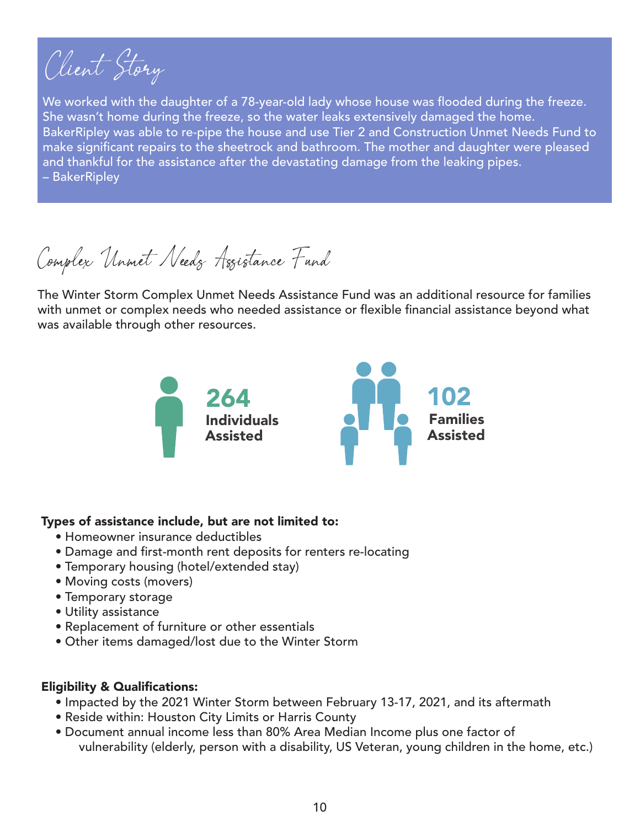Client Story

We worked with the daughter of a 78-year-old lady whose house was flooded during the freeze. She wasn't home during the freeze, so the water leaks extensively damaged the home. BakerRipley was able to re-pipe the house and use Tier 2 and Construction Unmet Needs Fund to make significant repairs to the sheetrock and bathroom. The mother and daughter were pleased and thankful for the assistance after the devastating damage from the leaking pipes. – BakerRipley

Complex Unmet Needs Assistance Fund

The Winter Storm Complex Unmet Needs Assistance Fund was an additional resource for families with unmet or complex needs who needed assistance or flexible financial assistance beyond what was available through other resources.



#### Types of assistance include, but are not limited to:

- Homeowner insurance deductibles
- Damage and first-month rent deposits for renters re-locating
- Temporary housing (hotel/extended stay)
- Moving costs (movers)
- Temporary storage
- Utility assistance
- Replacement of furniture or other essentials
- Other items damaged/lost due to the Winter Storm

#### Eligibility & Qualifications:

- Impacted by the 2021 Winter Storm between February 13-17, 2021, and its aftermath
- Reside within: Houston City Limits or Harris County
- Document annual income less than 80% Area Median Income plus one factor of vulnerability (elderly, person with a disability, US Veteran, young children in the home, etc.)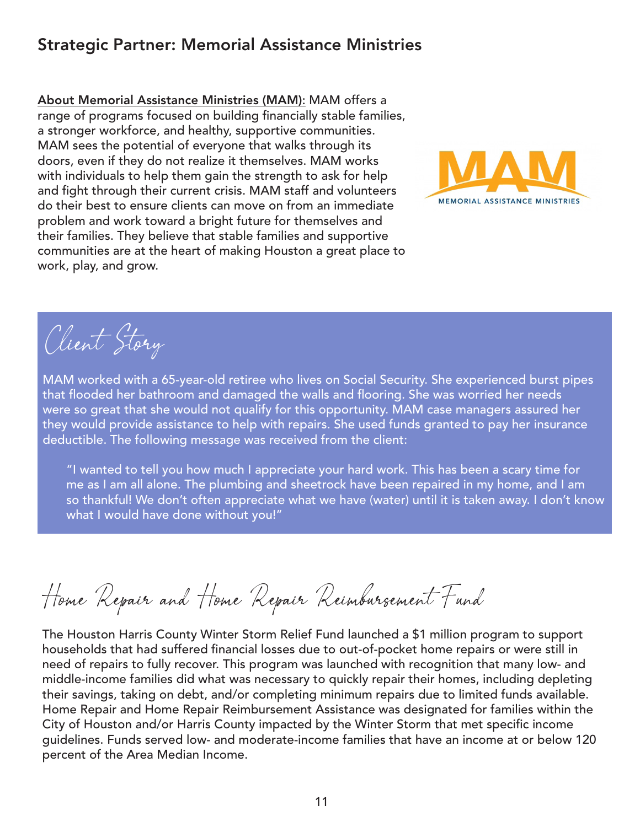# Strategic Partner: Memorial Assistance Ministries

About Memorial Assistance Ministries (MAM): MAM offers a range of programs focused on building financially stable families, a stronger workforce, and healthy, supportive communities. MAM sees the potential of everyone that walks through its doors, even if they do not realize it themselves. MAM works with individuals to help them gain the strength to ask for help and fight through their current crisis. MAM staff and volunteers do their best to ensure clients can move on from an immediate problem and work toward a bright future for themselves and their families. They believe that stable families and supportive communities are at the heart of making Houston a great place to work, play, and grow.



Client Story

MAM worked with a 65-year-old retiree who lives on Social Security. She experienced burst pipes that flooded her bathroom and damaged the walls and flooring. She was worried her needs were so great that she would not qualify for this opportunity. MAM case managers assured her they would provide assistance to help with repairs. She used funds granted to pay her insurance deductible. The following message was received from the client:

"I wanted to tell you how much I appreciate your hard work. This has been a scary time for me as I am all alone. The plumbing and sheetrock have been repaired in my home, and I am so thankful! We don't often appreciate what we have (water) until it is taken away. I don't know what I would have done without you!"

Home Repair and Home Repair Reimbursement Fund

The Houston Harris County Winter Storm Relief Fund launched a \$1 million program to support households that had suffered financial losses due to out-of-pocket home repairs or were still in need of repairs to fully recover. This program was launched with recognition that many low- and middle-income families did what was necessary to quickly repair their homes, including depleting their savings, taking on debt, and/or completing minimum repairs due to limited funds available. Home Repair and Home Repair Reimbursement Assistance was designated for families within the City of Houston and/or Harris County impacted by the Winter Storm that met specific income guidelines. Funds served low- and moderate-income families that have an income at or below 120 percent of the Area Median Income.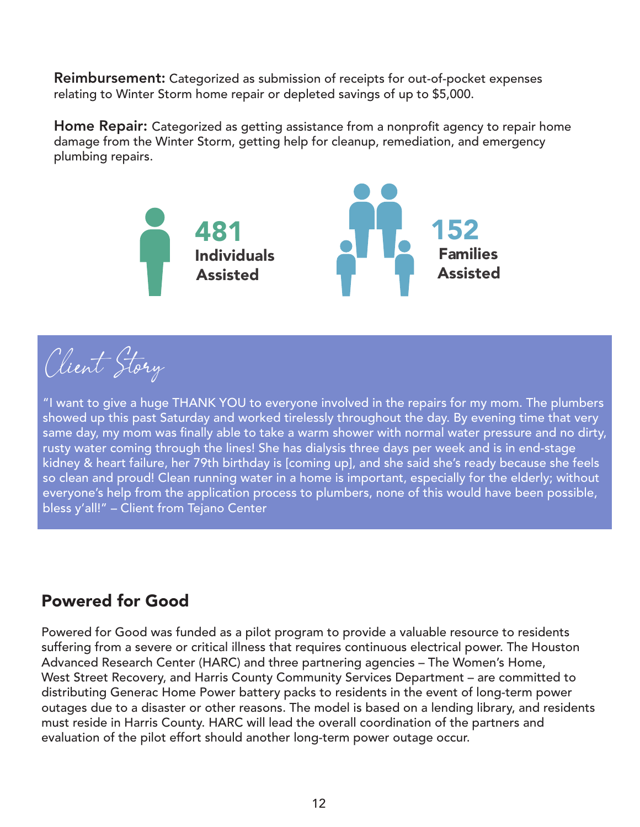Reimbursement: Categorized as submission of receipts for out-of-pocket expenses relating to Winter Storm home repair or depleted savings of up to \$5,000.

Home Repair: Categorized as getting assistance from a nonprofit agency to repair home damage from the Winter Storm, getting help for cleanup, remediation, and emergency plumbing repairs.



Client Story

"I want to give a huge THANK YOU to everyone involved in the repairs for my mom. The plumbers showed up this past Saturday and worked tirelessly throughout the day. By evening time that very same day, my mom was finally able to take a warm shower with normal water pressure and no dirty, rusty water coming through the lines! She has dialysis three days per week and is in end-stage kidney & heart failure, her 79th birthday is [coming up], and she said she's ready because she feels so clean and proud! Clean running water in a home is important, especially for the elderly; without everyone's help from the application process to plumbers, none of this would have been possible, bless y'all!" – Client from Tejano Center

# Powered for Good

Powered for Good was funded as a pilot program to provide a valuable resource to residents suffering from a severe or critical illness that requires continuous electrical power. The Houston Advanced Research Center (HARC) and three partnering agencies – The Women's Home, West Street Recovery, and Harris County Community Services Department – are committed to distributing Generac Home Power battery packs to residents in the event of long-term power outages due to a disaster or other reasons. The model is based on a lending library, and residents must reside in Harris County. HARC will lead the overall coordination of the partners and evaluation of the pilot effort should another long-term power outage occur.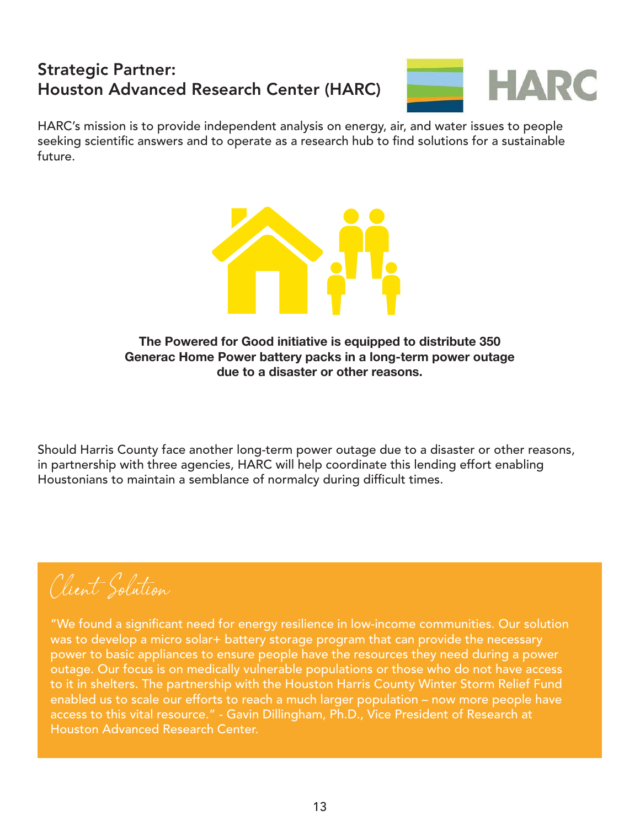# Strategic Partner: Houston Advanced Research Center (HARC)



HARC's mission is to provide independent analysis on energy, air, and water issues to people seeking scientific answers and to operate as a research hub to find solutions for a sustainable future.



**The Powered for Good initiative is equipped to distribute 350 Generac Home Power battery packs in a long-term power outage due to a disaster or other reasons.**

Should Harris County face another long-term power outage due to a disaster or other reasons, in partnership with three agencies, HARC will help coordinate this lending effort enabling Houstonians to maintain a semblance of normalcy during difficult times.

Client Solution

"We found a significant need for energy resilience in low-income communities. Our solution was to develop a micro solar+ battery storage program that can provide the necessary power to basic appliances to ensure people have the resources they need during a power outage. Our focus is on medically vulnerable populations or those who do not have access to it in shelters. The partnership with the Houston Harris County Winter Storm Relief Fund enabled us to scale our efforts to reach a much larger population – now more people have access to this vital resource." - Gavin Dillingham, Ph.D., Vice President of Research at Houston Advanced Research Center.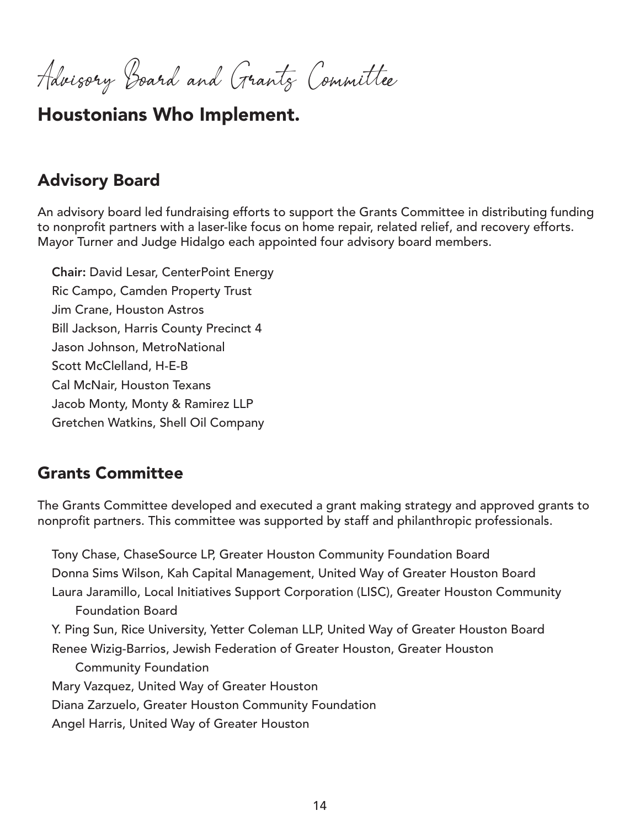Advisory Board and Grants Committee

# Houstonians Who Implement.

## Advisory Board

An advisory board led fundraising efforts to support the Grants Committee in distributing funding to nonprofit partners with a laser-like focus on home repair, related relief, and recovery efforts. Mayor Turner and Judge Hidalgo each appointed four advisory board members.

Chair: David Lesar, CenterPoint Energy Ric Campo, Camden Property Trust Jim Crane, Houston Astros Bill Jackson, Harris County Precinct 4 Jason Johnson, MetroNational Scott McClelland, H-E-B Cal McNair, Houston Texans Jacob Monty, Monty & Ramirez LLP Gretchen Watkins, Shell Oil Company

## Grants Committee

The Grants Committee developed and executed a grant making strategy and approved grants to nonprofit partners. This committee was supported by staff and philanthropic professionals.

Tony Chase, ChaseSource LP, Greater Houston Community Foundation Board Donna Sims Wilson, Kah Capital Management, United Way of Greater Houston Board Laura Jaramillo, Local Initiatives Support Corporation (LISC), Greater Houston Community Foundation Board Y. Ping Sun, Rice University, Yetter Coleman LLP, United Way of Greater Houston Board Renee Wizig-Barrios, Jewish Federation of Greater Houston, Greater Houston Community Foundation Mary Vazquez, United Way of Greater Houston Diana Zarzuelo, Greater Houston Community Foundation Angel Harris, United Way of Greater Houston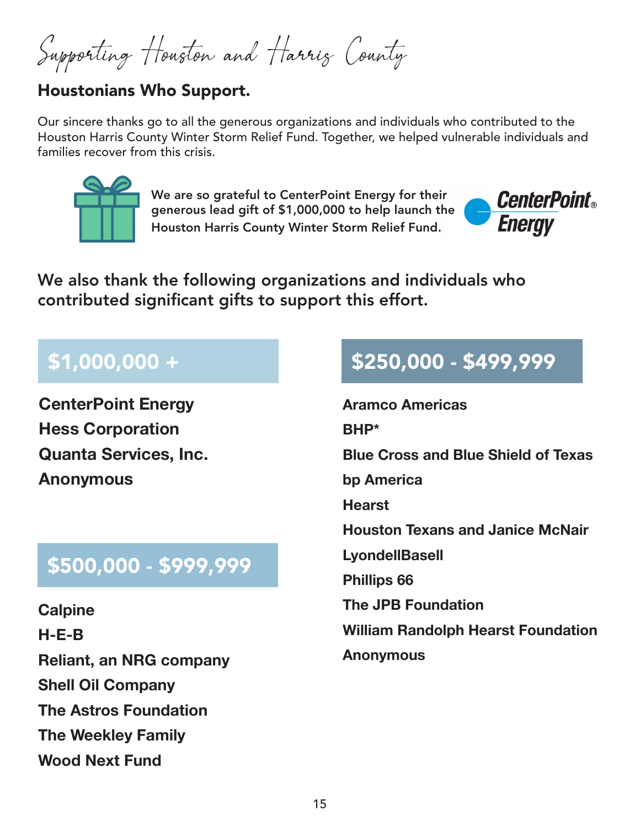Supporting Houston and Harris County

# Houstonians Who Support.

Our sincere thanks go to all the generous organizations and individuals who contributed to the Houston Harris County Winter Storm Relief Fund. Together, we helped vulnerable individuals and families recover from this crisis.



We are so grateful to CenterPoint Energy for their generous lead gift of \$1,000,000 to help launch the Houston Harris County Winter Storm Relief Fund.



We also thank the following organizations and individuals who contributed significant gifts to support this effort.

# \$1,000,000 +

**CenterPoint Energy Hess Corporation Quanta Services, Inc. Anonymous** 

# \$500,000 - \$999,999

**Calpine H-E-B Reliant, an NRG company Shell Oil Company The Astros Foundation The Weekley Family Wood Next Fund** 

# \$250,000 - \$499,999

**Aramco Americas BHP\* Blue Cross and Blue Shield of Texas bp America Hearst Houston Texans and Janice McNair LyondellBasell Phillips 66 The JPB Foundation William Randolph Hearst Foundation Anonymous**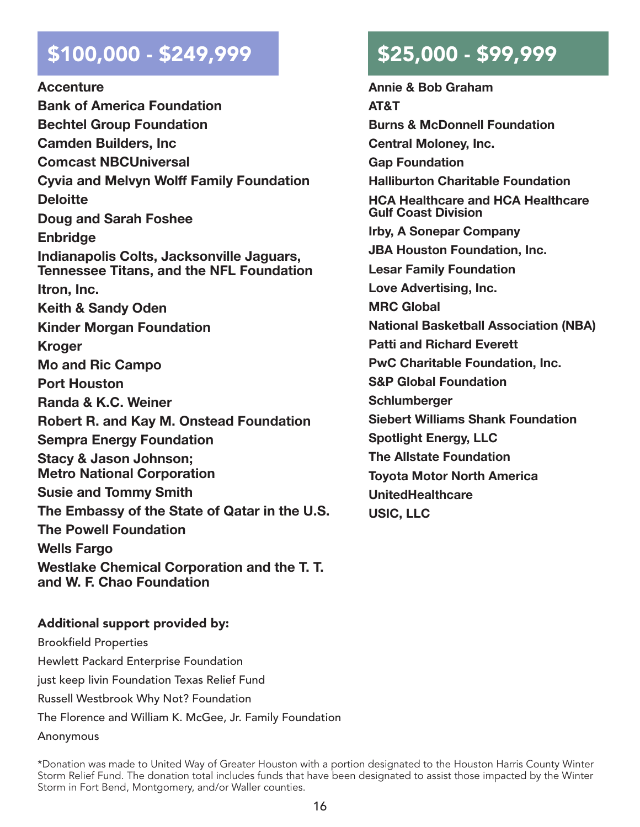# $$100,000 - $249,999$  \$25,000 - \$99,999

**Accenture Bank of America Foundation Bechtel Group Foundation Camden Builders, Inc Comcast NBCUniversal Cyvia and Melvyn Wolff Family Foundation Deloitte Doug and Sarah Foshee Enbridge Indianapolis Colts, Jacksonville Jaguars, Tennessee Titans, and the NFL Foundation Itron, Inc. Keith & Sandy Oden Kinder Morgan Foundation Kroger Mo and Ric Campo Port Houston Randa & K.C. Weiner Robert R. and Kay M. Onstead Foundation Sempra Energy Foundation Stacy & Jason Johnson; Metro National Corporation Susie and Tommy Smith The Embassy of the State of Qatar in the U.S. The Powell Foundation Wells Fargo Westlake Chemical Corporation and the T. T. and W. F. Chao Foundation** 

**Annie & Bob Graham AT&T Burns & McDonnell Foundation Central Moloney, Inc. Gap Foundation Halliburton Charitable Foundation HCA Healthcare and HCA Healthcare Gulf Coast Division Irby, A Sonepar Company JBA Houston Foundation, Inc. Lesar Family Foundation Love Advertising, Inc. MRC Global National Basketball Association (NBA) Patti and Richard Everett PwC Charitable Foundation, Inc. S&P Global Foundation Schlumberger Siebert Williams Shank Foundation Spotlight Energy, LLC The Allstate Foundation Toyota Motor North America UnitedHealthcare USIC, LLC** 

#### Additional support provided by:

Brookfield Properties Hewlett Packard Enterprise Foundation just keep livin Foundation Texas Relief Fund Russell Westbrook Why Not? Foundation The Florence and William K. McGee, Jr. Family Foundation Anonymous

\*Donation was made to United Way of Greater Houston with a portion designated to the Houston Harris County Winter Storm Relief Fund. The donation total includes funds that have been designated to assist those impacted by the Winter Storm in Fort Bend, Montgomery, and/or Waller counties.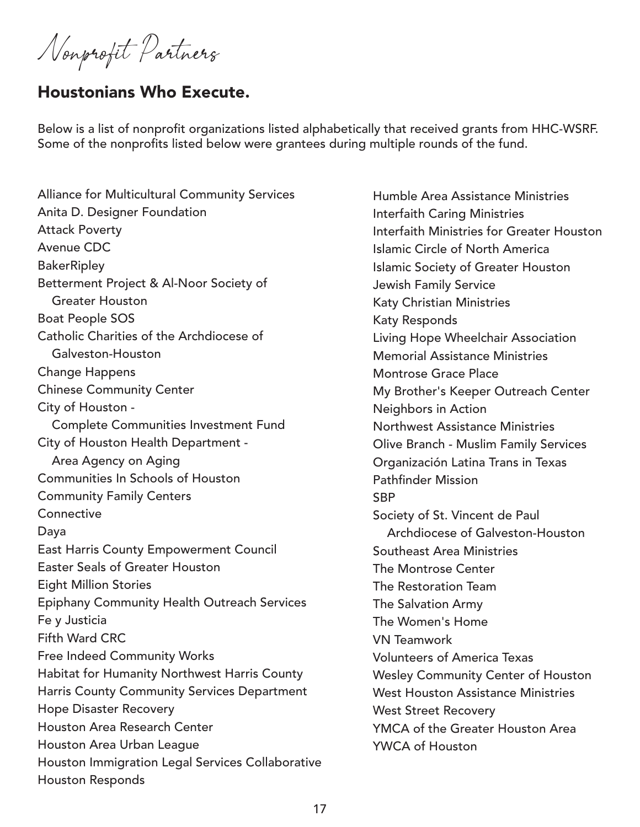Nonprofit Partners

# Houstonians Who Execute.

Below is a list of nonprofit organizations listed alphabetically that received grants from HHC-WSRF. Some of the nonprofits listed below were grantees during multiple rounds of the fund.

Alliance for Multicultural Community Services Anita D. Designer Foundation Attack Poverty Avenue CDC **BakerRipley** Betterment Project & Al-Noor Society of Greater Houston Boat People SOS Catholic Charities of the Archdiocese of Galveston-Houston Change Happens Chinese Community Center City of Houston - Complete Communities Investment Fund City of Houston Health Department - Area Agency on Aging Communities In Schools of Houston Community Family Centers **Connective** Daya East Harris County Empowerment Council Easter Seals of Greater Houston Eight Million Stories Epiphany Community Health Outreach Services Fe y Justicia Fifth Ward CRC Free Indeed Community Works Habitat for Humanity Northwest Harris County Harris County Community Services Department Hope Disaster Recovery Houston Area Research Center Houston Area Urban League Houston Immigration Legal Services Collaborative Houston Responds

Humble Area Assistance Ministries Interfaith Caring Ministries Interfaith Ministries for Greater Houston Islamic Circle of North America Islamic Society of Greater Houston Jewish Family Service Katy Christian Ministries Katy Responds Living Hope Wheelchair Association Memorial Assistance Ministries Montrose Grace Place My Brother's Keeper Outreach Center Neighbors in Action Northwest Assistance Ministries Olive Branch - Muslim Family Services Organización Latina Trans in Texas Pathfinder Mission **SBP** Society of St. Vincent de Paul Archdiocese of Galveston-Houston Southeast Area Ministries The Montrose Center The Restoration Team The Salvation Army The Women's Home VN Teamwork Volunteers of America Texas Wesley Community Center of Houston West Houston Assistance Ministries West Street Recovery YMCA of the Greater Houston Area YWCA of Houston